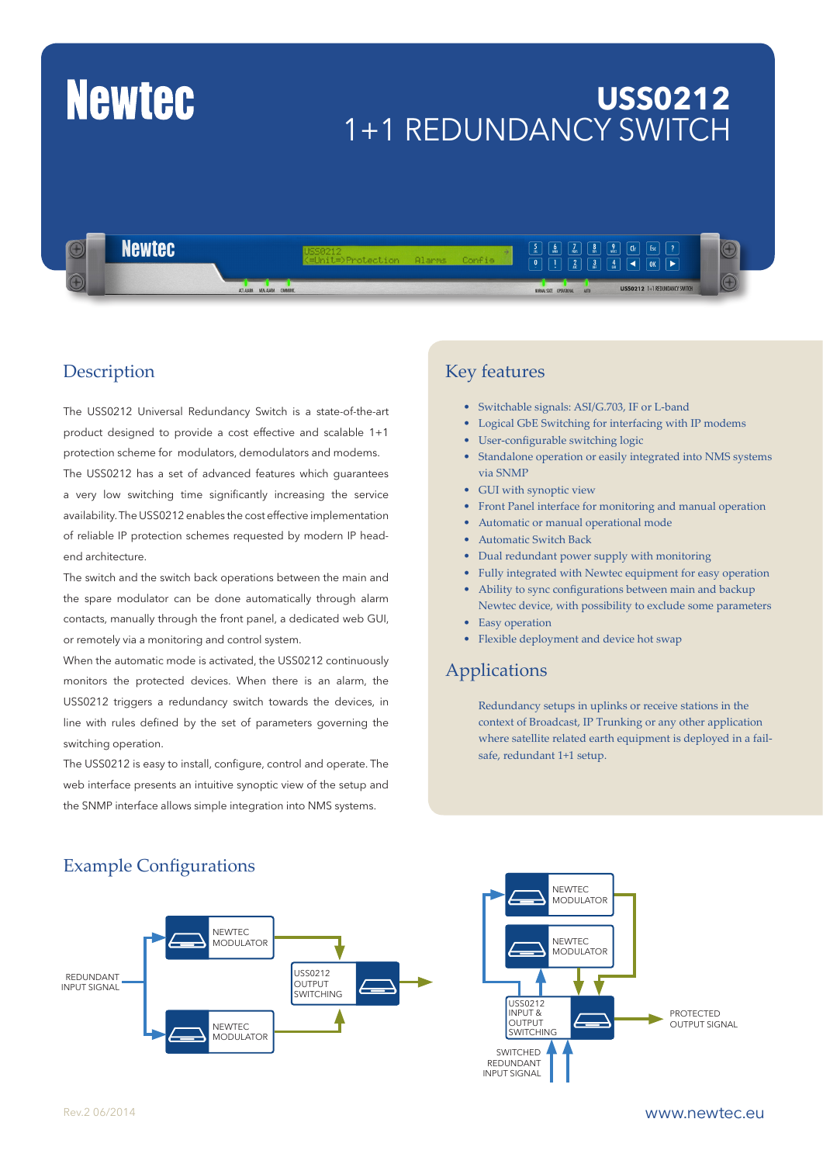# **Newtec**

## **USS0212** 1+1 REDUNDANCY SWITCH

**Newtec** 

## **Description**

The USS0212 Universal Redundancy Switch is a state-of-the-art product designed to provide a cost effective and scalable 1+1 protection scheme for modulators, demodulators and modems. The USS0212 has a set of advanced features which guarantees

ACLAURIA MENLALARM COMMUN

a very low switching time significantly increasing the service availability. The USS0212 enables the cost effective implementation of reliable IP protection schemes requested by modern IP headend architecture.

The switch and the switch back operations between the main and the spare modulator can be done automatically through alarm contacts, manually through the front panel, a dedicated web GUI, or remotely via a monitoring and control system.

When the automatic mode is activated, the USS0212 continuously monitors the protected devices. When there is an alarm, the USS0212 triggers a redundancy switch towards the devices, in line with rules defined by the set of parameters governing the switching operation.

The USS0212 is easy to install, configure, control and operate. The web interface presents an intuitive synoptic view of the setup and the SNMP interface allows simple integration into NMS systems.

#### Key features

- Switchable signals: ASI/G.703, IF or L-band
- Logical GbE Switching for interfacing with IP modems
- • User-configurable switching logic

 $\boxed{\phantom{1}6}$  $\overline{\bullet}$ 

 $\boxed{\frac{2}{4k}}$ 

• Standalone operation or easily integrated into NMS systems via SNMP

 $\begin{array}{|c|c|c|c|c|}\hline \overline{f} & \overline{g} & \overline{g} & \overline{g} \\ \hline \overline{m} & \overline{m} & \overline{m} & \overline{g} \\ \hline \end{array}$ 

 $\boxed{\blacktriangleleft}$   $\boxed{0K}$   $\boxed{\blacktriangleright}$ 

USSO212 1+1 REDUNDANCY SWITC

 $\sqrt{\frac{4}{\omega}}$  $\sqrt{\frac{3}{10}}$ 

- GUI with synoptic view
- Front Panel interface for monitoring and manual operation
- Automatic or manual operational mode
- Automatic Switch Back
- Dual redundant power supply with monitoring
- Fully integrated with Newtec equipment for easy operation
- Ability to sync configurations between main and backup Newtec device, with possibility to exclude some parameters
- Easy operation
- Flexible deployment and device hot swap

### Applications

Redundancy setups in uplinks or receive stations in the context of Broadcast, IP Trunking or any other application where satellite related earth equipment is deployed in a failsafe, redundant 1+1 setup.

### Example Configurations